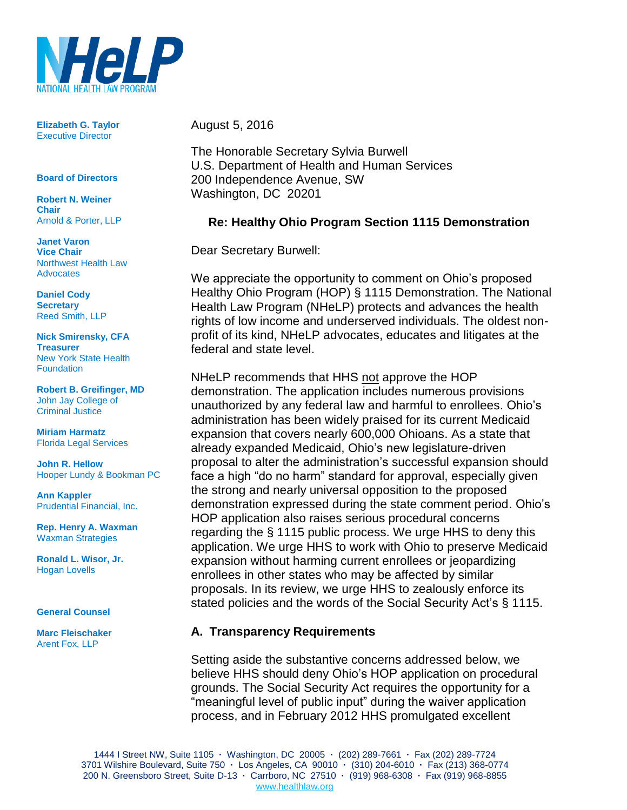

**Elizabeth G. Taylor** Executive Director

**Board of Directors**

**Robert N. Weiner Chair** Arnold & Porter, LLP

**Janet Varon Vice Chair** Northwest Health Law **Advocates** 

**Daniel Cody Secretary** Reed Smith, LLP

**Nick Smirensky, CFA Treasurer** New York State Health **Foundation** 

**Robert B. Greifinger, MD** John Jay College of Criminal Justice

**Miriam Harmatz** Florida Legal Services

**John R. Hellow** Hooper Lundy & Bookman PC

**Ann Kappler** Prudential Financial, Inc.

**Rep. Henry A. Waxman** Waxman Strategies

**Ronald L. Wisor, Jr.** Hogan Lovells

#### **General Counsel**

**Marc Fleischaker** Arent Fox, LLP

August 5, 2016

The Honorable Secretary Sylvia Burwell U.S. Department of Health and Human Services 200 Independence Avenue, SW Washington, DC 20201

#### **Re: Healthy Ohio Program Section 1115 Demonstration**

Dear Secretary Burwell:

We appreciate the opportunity to comment on Ohio's proposed Healthy Ohio Program (HOP) § 1115 Demonstration. The National Health Law Program (NHeLP) protects and advances the health rights of low income and underserved individuals. The oldest nonprofit of its kind, NHeLP advocates, educates and litigates at the federal and state level.

NHeLP recommends that HHS not approve the HOP demonstration. The application includes numerous provisions unauthorized by any federal law and harmful to enrollees. Ohio's administration has been widely praised for its current Medicaid expansion that covers nearly 600,000 Ohioans. As a state that already expanded Medicaid, Ohio's new legislature-driven proposal to alter the administration's successful expansion should face a high "do no harm" standard for approval, especially given the strong and nearly universal opposition to the proposed demonstration expressed during the state comment period. Ohio's HOP application also raises serious procedural concerns regarding the § 1115 public process. We urge HHS to deny this application. We urge HHS to work with Ohio to preserve Medicaid expansion without harming current enrollees or jeopardizing enrollees in other states who may be affected by similar proposals. In its review, we urge HHS to zealously enforce its stated policies and the words of the Social Security Act's § 1115.

#### **A. Transparency Requirements**

Setting aside the substantive concerns addressed below, we believe HHS should deny Ohio's HOP application on procedural grounds. The Social Security Act requires the opportunity for a "meaningful level of public input" during the waiver application process, and in February 2012 HHS promulgated excellent

1444 I Street NW, Suite 1105 **·** Washington, DC 20005 **·** (202) 289-7661 **·** Fax (202) 289-7724 3701 Wilshire Boulevard, Suite 750 **·** Los Angeles, CA 90010 **·** (310) 204-6010 **·** Fax (213) 368-0774 200 N. Greensboro Street, Suite D-13 **·** Carrboro, NC 27510 **·** (919) 968-6308 **·** Fax (919) 968-8855 www.healthlaw.org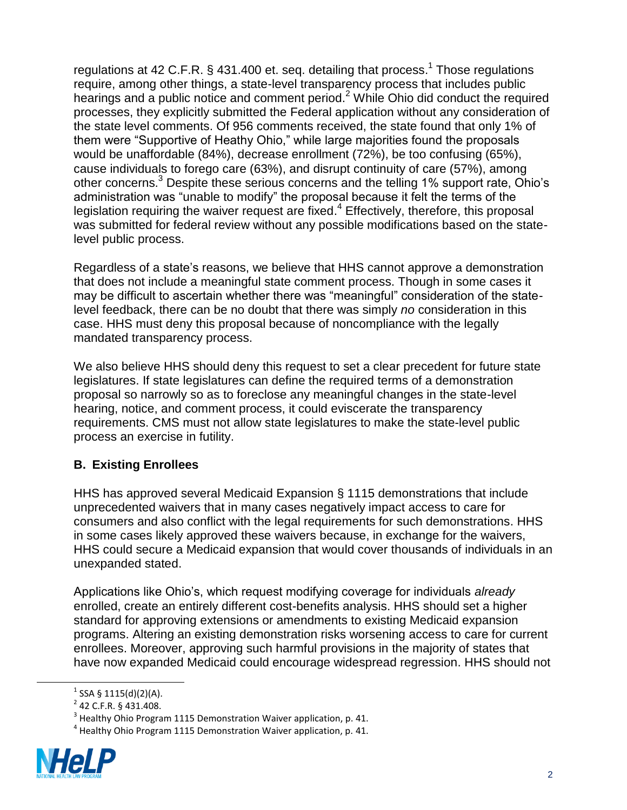regulations at 42 C.F.R. § 431.400 et. seq. detailing that process.<sup>1</sup> Those regulations require, among other things, a state-level transparency process that includes public hearings and a public notice and comment period.<sup>2</sup> While Ohio did conduct the required processes, they explicitly submitted the Federal application without any consideration of the state level comments. Of 956 comments received, the state found that only 1% of them were "Supportive of Heathy Ohio," while large majorities found the proposals would be unaffordable (84%), decrease enrollment (72%), be too confusing (65%), cause individuals to forego care (63%), and disrupt continuity of care (57%), among other concerns.<sup>3</sup> Despite these serious concerns and the telling 1% support rate, Ohio's administration was "unable to modify" the proposal because it felt the terms of the legislation requiring the waiver request are fixed.<sup>4</sup> Effectively, therefore, this proposal was submitted for federal review without any possible modifications based on the statelevel public process.

Regardless of a state's reasons, we believe that HHS cannot approve a demonstration that does not include a meaningful state comment process. Though in some cases it may be difficult to ascertain whether there was "meaningful" consideration of the statelevel feedback, there can be no doubt that there was simply *no* consideration in this case. HHS must deny this proposal because of noncompliance with the legally mandated transparency process.

We also believe HHS should deny this request to set a clear precedent for future state legislatures. If state legislatures can define the required terms of a demonstration proposal so narrowly so as to foreclose any meaningful changes in the state-level hearing, notice, and comment process, it could eviscerate the transparency requirements. CMS must not allow state legislatures to make the state-level public process an exercise in futility.

#### **B. Existing Enrollees**

HHS has approved several Medicaid Expansion § 1115 demonstrations that include unprecedented waivers that in many cases negatively impact access to care for consumers and also conflict with the legal requirements for such demonstrations. HHS in some cases likely approved these waivers because, in exchange for the waivers, HHS could secure a Medicaid expansion that would cover thousands of individuals in an unexpanded stated.

Applications like Ohio's, which request modifying coverage for individuals *already* enrolled, create an entirely different cost-benefits analysis. HHS should set a higher standard for approving extensions or amendments to existing Medicaid expansion programs. Altering an existing demonstration risks worsening access to care for current enrollees. Moreover, approving such harmful provisions in the majority of states that have now expanded Medicaid could encourage widespread regression. HHS should not

 $^4$  Healthy Ohio Program 1115 Demonstration Waiver application, p. 41.



 $1$  SSA § 1115(d)(2)(A).

 $^{2}$  42 C.F.R. § 431.408.

 $3$  Healthy Ohio Program 1115 Demonstration Waiver application, p. 41.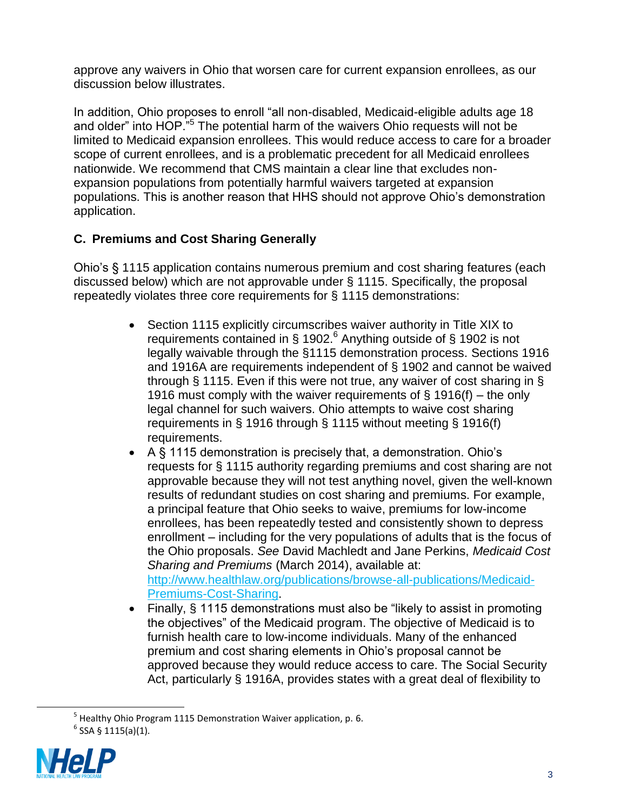approve any waivers in Ohio that worsen care for current expansion enrollees, as our discussion below illustrates.

In addition, Ohio proposes to enroll "all non-disabled, Medicaid-eligible adults age 18 and older" into HOP."<sup>5</sup> The potential harm of the waivers Ohio requests will not be limited to Medicaid expansion enrollees. This would reduce access to care for a broader scope of current enrollees, and is a problematic precedent for all Medicaid enrollees nationwide. We recommend that CMS maintain a clear line that excludes nonexpansion populations from potentially harmful waivers targeted at expansion populations. This is another reason that HHS should not approve Ohio's demonstration application.

# **C. Premiums and Cost Sharing Generally**

Ohio's § 1115 application contains numerous premium and cost sharing features (each discussed below) which are not approvable under § 1115. Specifically, the proposal repeatedly violates three core requirements for § 1115 demonstrations:

- Section 1115 explicitly circumscribes waiver authority in Title XIX to requirements contained in § 1902.<sup>6</sup> Anything outside of § 1902 is not legally waivable through the §1115 demonstration process. Sections 1916 and 1916A are requirements independent of § 1902 and cannot be waived through § 1115. Even if this were not true, any waiver of cost sharing in § 1916 must comply with the waiver requirements of § 1916(f) – the only legal channel for such waivers. Ohio attempts to waive cost sharing requirements in § 1916 through § 1115 without meeting § 1916(f) requirements.
- A § 1115 demonstration is precisely that, a demonstration. Ohio's requests for § 1115 authority regarding premiums and cost sharing are not approvable because they will not test anything novel, given the well-known results of redundant studies on cost sharing and premiums. For example, a principal feature that Ohio seeks to waive, premiums for low-income enrollees, has been repeatedly tested and consistently shown to depress enrollment – including for the very populations of adults that is the focus of the Ohio proposals. *See* David Machledt and Jane Perkins, *Medicaid Cost Sharing and Premiums* (March 2014), available at: [http://www.healthlaw.org/publications/browse-all-publications/Medicaid-](http://www.healthlaw.org/publications/browse-all-publications/Medicaid-Premiums-Cost-Sharing)
	- [Premiums-Cost-Sharing.](http://www.healthlaw.org/publications/browse-all-publications/Medicaid-Premiums-Cost-Sharing)
- Finally, § 1115 demonstrations must also be "likely to assist in promoting the objectives" of the Medicaid program. The objective of Medicaid is to furnish health care to low-income individuals. Many of the enhanced premium and cost sharing elements in Ohio's proposal cannot be approved because they would reduce access to care. The Social Security Act, particularly § 1916A, provides states with a great deal of flexibility to

<sup>&</sup>lt;sup>5</sup> Healthy Ohio Program 1115 Demonstration Waiver application, p. 6.  $6$  SSA § 1115(a)(1).

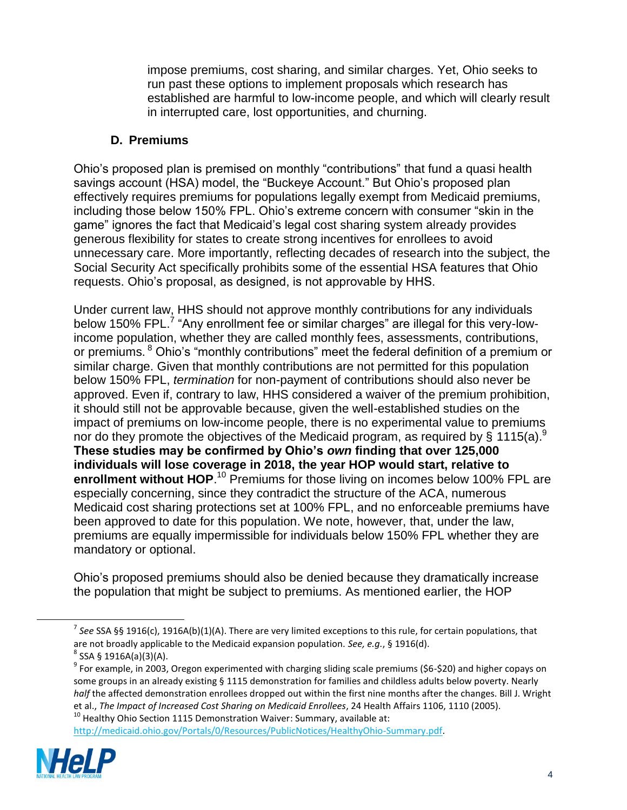impose premiums, cost sharing, and similar charges. Yet, Ohio seeks to run past these options to implement proposals which research has established are harmful to low-income people, and which will clearly result in interrupted care, lost opportunities, and churning.

#### **D. Premiums**

Ohio's proposed plan is premised on monthly "contributions" that fund a quasi health savings account (HSA) model, the "Buckeye Account." But Ohio's proposed plan effectively requires premiums for populations legally exempt from Medicaid premiums, including those below 150% FPL. Ohio's extreme concern with consumer "skin in the game" ignores the fact that Medicaid's legal cost sharing system already provides generous flexibility for states to create strong incentives for enrollees to avoid unnecessary care. More importantly, reflecting decades of research into the subject, the Social Security Act specifically prohibits some of the essential HSA features that Ohio requests. Ohio's proposal, as designed, is not approvable by HHS.

Under current law, HHS should not approve monthly contributions for any individuals below 150% FPL.<sup>7</sup> "Any enrollment fee or similar charges" are illegal for this very-lowincome population, whether they are called monthly fees, assessments, contributions, or premiums. <sup>8</sup> Ohio's "monthly contributions" meet the federal definition of a premium or similar charge. Given that monthly contributions are not permitted for this population below 150% FPL, *termination* for non-payment of contributions should also never be approved. Even if, contrary to law, HHS considered a waiver of the premium prohibition, it should still not be approvable because, given the well-established studies on the impact of premiums on low-income people, there is no experimental value to premiums nor do they promote the objectives of the Medicaid program, as required by § 1115(a).<sup>9</sup> **These studies may be confirmed by Ohio's** *own* **finding that over 125,000 individuals will lose coverage in 2018, the year HOP would start, relative to**  enrollment without HOP.<sup>10</sup> Premiums for those living on incomes below 100% FPL are especially concerning, since they contradict the structure of the ACA, numerous Medicaid cost sharing protections set at 100% FPL, and no enforceable premiums have been approved to date for this population. We note, however, that, under the law, premiums are equally impermissible for individuals below 150% FPL whether they are mandatory or optional.

Ohio's proposed premiums should also be denied because they dramatically increase the population that might be subject to premiums. As mentioned earlier, the HOP

<sup>&</sup>lt;sup>10</sup> Healthy Ohio Section 1115 Demonstration Waiver: Summary, available at: [http://medicaid.ohio.gov/Portals/0/Resources/PublicNotices/HealthyOhio-Summary.pdf.](http://medicaid.ohio.gov/Portals/0/Resources/PublicNotices/HealthyOhio-Summary.pdf)



<sup>7</sup> *See* SSA §§ 1916(c), 1916A(b)(1)(A). There are very limited exceptions to this rule, for certain populations, that are not broadly applicable to the Medicaid expansion population. *See, e.g.*, § 1916(d).

 $^8$  SSA § 1916A(a)(3)(A).

<sup>&</sup>lt;sup>9</sup> For example, in 2003, Oregon experimented with charging sliding scale premiums (\$6-\$20) and higher copays on some groups in an already existing § 1115 demonstration for families and childless adults below poverty. Nearly *half* the affected demonstration enrollees dropped out within the first nine months after the changes. Bill J. Wright et al., *The Impact of Increased Cost Sharing on Medicaid Enrollees*, 24 Health Affairs 1106, 1110 (2005).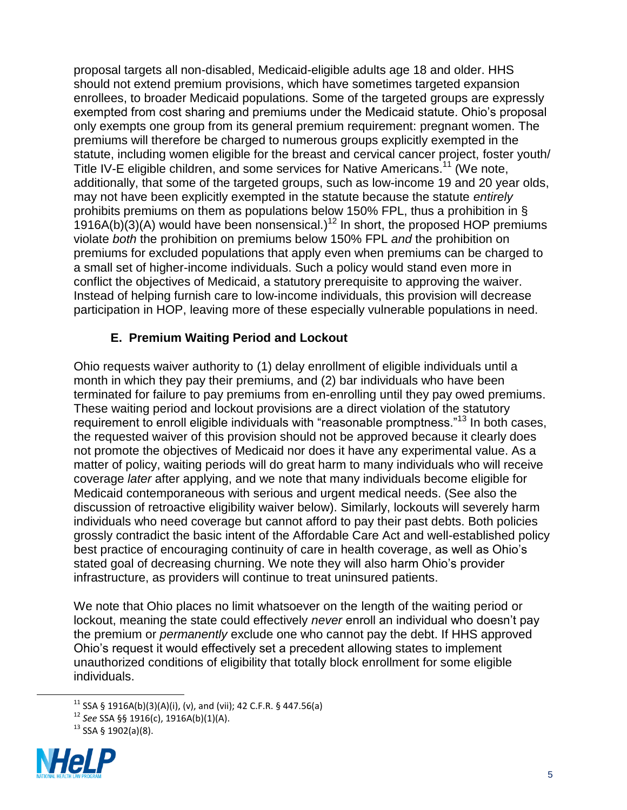proposal targets all non-disabled, Medicaid-eligible adults age 18 and older. HHS should not extend premium provisions, which have sometimes targeted expansion enrollees, to broader Medicaid populations. Some of the targeted groups are expressly exempted from cost sharing and premiums under the Medicaid statute. Ohio's proposal only exempts one group from its general premium requirement: pregnant women. The premiums will therefore be charged to numerous groups explicitly exempted in the statute, including women eligible for the breast and cervical cancer project, foster youth/ Title IV-E eligible children, and some services for Native Americans.<sup>11</sup> (We note, additionally, that some of the targeted groups, such as low-income 19 and 20 year olds, may not have been explicitly exempted in the statute because the statute *entirely* prohibits premiums on them as populations below 150% FPL, thus a prohibition in §  $1916A(b)(3)$ (A) would have been nonsensical.)<sup>12</sup> In short, the proposed HOP premiums violate *both* the prohibition on premiums below 150% FPL *and* the prohibition on premiums for excluded populations that apply even when premiums can be charged to a small set of higher-income individuals. Such a policy would stand even more in conflict the objectives of Medicaid, a statutory prerequisite to approving the waiver. Instead of helping furnish care to low-income individuals, this provision will decrease participation in HOP, leaving more of these especially vulnerable populations in need.

#### **E. Premium Waiting Period and Lockout**

Ohio requests waiver authority to (1) delay enrollment of eligible individuals until a month in which they pay their premiums, and (2) bar individuals who have been terminated for failure to pay premiums from en-enrolling until they pay owed premiums. These waiting period and lockout provisions are a direct violation of the statutory requirement to enroll eligible individuals with "reasonable promptness."<sup>13</sup> In both cases, the requested waiver of this provision should not be approved because it clearly does not promote the objectives of Medicaid nor does it have any experimental value. As a matter of policy, waiting periods will do great harm to many individuals who will receive coverage *later* after applying, and we note that many individuals become eligible for Medicaid contemporaneous with serious and urgent medical needs. (See also the discussion of retroactive eligibility waiver below). Similarly, lockouts will severely harm individuals who need coverage but cannot afford to pay their past debts. Both policies grossly contradict the basic intent of the Affordable Care Act and well-established policy best practice of encouraging continuity of care in health coverage, as well as Ohio's stated goal of decreasing churning. We note they will also harm Ohio's provider infrastructure, as providers will continue to treat uninsured patients.

We note that Ohio places no limit whatsoever on the length of the waiting period or lockout, meaning the state could effectively *never* enroll an individual who doesn't pay the premium or *permanently* exclude one who cannot pay the debt. If HHS approved Ohio's request it would effectively set a precedent allowing states to implement unauthorized conditions of eligibility that totally block enrollment for some eligible individuals.

 $13$  SSA § 1902(a)(8).



 $11$  SSA § 1916A(b)(3)(A)(i), (v), and (vii); 42 C.F.R. § 447.56(a)

<sup>12</sup> *See* SSA §§ 1916(c), 1916A(b)(1)(A).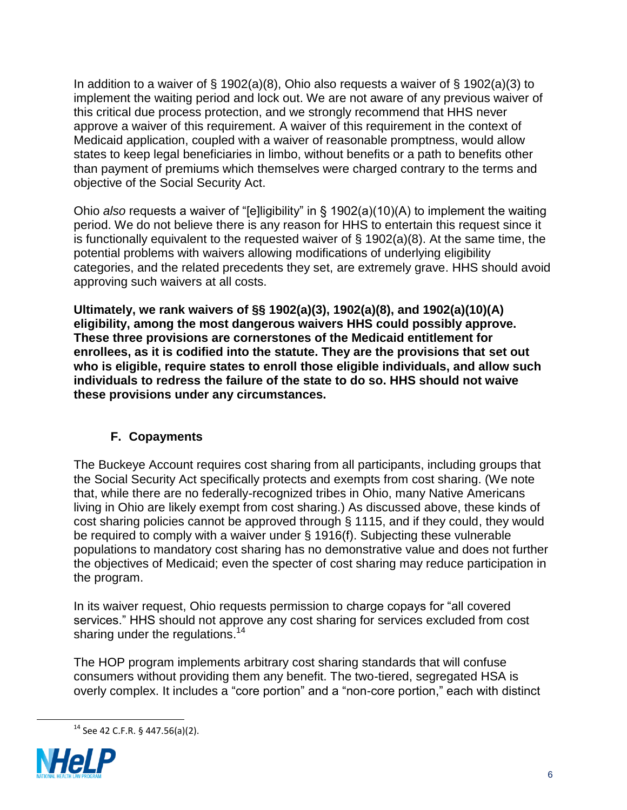In addition to a waiver of  $\S$  1902(a)(8), Ohio also requests a waiver of  $\S$  1902(a)(3) to implement the waiting period and lock out. We are not aware of any previous waiver of this critical due process protection, and we strongly recommend that HHS never approve a waiver of this requirement. A waiver of this requirement in the context of Medicaid application, coupled with a waiver of reasonable promptness, would allow states to keep legal beneficiaries in limbo, without benefits or a path to benefits other than payment of premiums which themselves were charged contrary to the terms and objective of the Social Security Act.

Ohio *also* requests a waiver of "[e]ligibility" in § 1902(a)(10)(A) to implement the waiting period. We do not believe there is any reason for HHS to entertain this request since it is functionally equivalent to the requested waiver of  $\S$  1902(a)(8). At the same time, the potential problems with waivers allowing modifications of underlying eligibility categories, and the related precedents they set, are extremely grave. HHS should avoid approving such waivers at all costs.

**Ultimately, we rank waivers of §§ 1902(a)(3), 1902(a)(8), and 1902(a)(10)(A) eligibility, among the most dangerous waivers HHS could possibly approve. These three provisions are cornerstones of the Medicaid entitlement for enrollees, as it is codified into the statute. They are the provisions that set out who is eligible, require states to enroll those eligible individuals, and allow such individuals to redress the failure of the state to do so. HHS should not waive these provisions under any circumstances.**

### **F. Copayments**

The Buckeye Account requires cost sharing from all participants, including groups that the Social Security Act specifically protects and exempts from cost sharing. (We note that, while there are no federally-recognized tribes in Ohio, many Native Americans living in Ohio are likely exempt from cost sharing.) As discussed above, these kinds of cost sharing policies cannot be approved through § 1115, and if they could, they would be required to comply with a waiver under § 1916(f). Subjecting these vulnerable populations to mandatory cost sharing has no demonstrative value and does not further the objectives of Medicaid; even the specter of cost sharing may reduce participation in the program.

In its waiver request, Ohio requests permission to charge copays for "all covered services." HHS should not approve any cost sharing for services excluded from cost sharing under the regulations.<sup>14</sup>

The HOP program implements arbitrary cost sharing standards that will confuse consumers without providing them any benefit. The two-tiered, segregated HSA is overly complex. It includes a "core portion" and a "non-core portion," each with distinct

 $14$  See 42 C.F.R. § 447.56(a)(2).

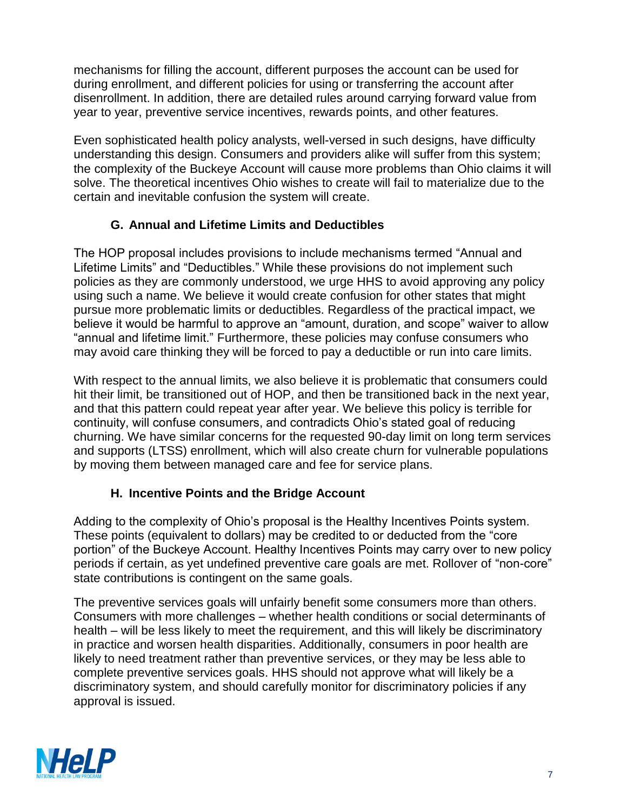mechanisms for filling the account, different purposes the account can be used for during enrollment, and different policies for using or transferring the account after disenrollment. In addition, there are detailed rules around carrying forward value from year to year, preventive service incentives, rewards points, and other features.

Even sophisticated health policy analysts, well-versed in such designs, have difficulty understanding this design. Consumers and providers alike will suffer from this system; the complexity of the Buckeye Account will cause more problems than Ohio claims it will solve. The theoretical incentives Ohio wishes to create will fail to materialize due to the certain and inevitable confusion the system will create.

#### **G. Annual and Lifetime Limits and Deductibles**

The HOP proposal includes provisions to include mechanisms termed "Annual and Lifetime Limits" and "Deductibles." While these provisions do not implement such policies as they are commonly understood, we urge HHS to avoid approving any policy using such a name. We believe it would create confusion for other states that might pursue more problematic limits or deductibles. Regardless of the practical impact, we believe it would be harmful to approve an "amount, duration, and scope" waiver to allow "annual and lifetime limit." Furthermore, these policies may confuse consumers who may avoid care thinking they will be forced to pay a deductible or run into care limits.

With respect to the annual limits, we also believe it is problematic that consumers could hit their limit, be transitioned out of HOP, and then be transitioned back in the next year, and that this pattern could repeat year after year. We believe this policy is terrible for continuity, will confuse consumers, and contradicts Ohio's stated goal of reducing churning. We have similar concerns for the requested 90-day limit on long term services and supports (LTSS) enrollment, which will also create churn for vulnerable populations by moving them between managed care and fee for service plans.

### **H. Incentive Points and the Bridge Account**

Adding to the complexity of Ohio's proposal is the Healthy Incentives Points system. These points (equivalent to dollars) may be credited to or deducted from the "core portion" of the Buckeye Account. Healthy Incentives Points may carry over to new policy periods if certain, as yet undefined preventive care goals are met. Rollover of "non-core" state contributions is contingent on the same goals.

The preventive services goals will unfairly benefit some consumers more than others. Consumers with more challenges – whether health conditions or social determinants of health – will be less likely to meet the requirement, and this will likely be discriminatory in practice and worsen health disparities. Additionally, consumers in poor health are likely to need treatment rather than preventive services, or they may be less able to complete preventive services goals. HHS should not approve what will likely be a discriminatory system, and should carefully monitor for discriminatory policies if any approval is issued.

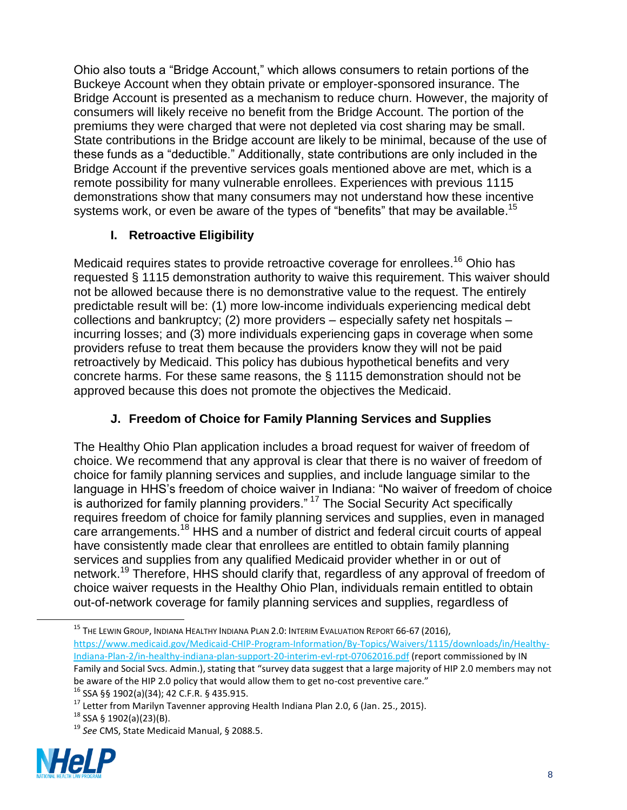Ohio also touts a "Bridge Account," which allows consumers to retain portions of the Buckeye Account when they obtain private or employer-sponsored insurance. The Bridge Account is presented as a mechanism to reduce churn. However, the majority of consumers will likely receive no benefit from the Bridge Account. The portion of the premiums they were charged that were not depleted via cost sharing may be small. State contributions in the Bridge account are likely to be minimal, because of the use of these funds as a "deductible." Additionally, state contributions are only included in the Bridge Account if the preventive services goals mentioned above are met, which is a remote possibility for many vulnerable enrollees. Experiences with previous 1115 demonstrations show that many consumers may not understand how these incentive systems work, or even be aware of the types of "benefits" that may be available.<sup>15</sup>

# **I. Retroactive Eligibility**

Medicaid requires states to provide retroactive coverage for enrollees.<sup>16</sup> Ohio has requested § 1115 demonstration authority to waive this requirement. This waiver should not be allowed because there is no demonstrative value to the request. The entirely predictable result will be: (1) more low-income individuals experiencing medical debt collections and bankruptcy; (2) more providers – especially safety net hospitals – incurring losses; and (3) more individuals experiencing gaps in coverage when some providers refuse to treat them because the providers know they will not be paid retroactively by Medicaid. This policy has dubious hypothetical benefits and very concrete harms. For these same reasons, the § 1115 demonstration should not be approved because this does not promote the objectives the Medicaid.

# **J. Freedom of Choice for Family Planning Services and Supplies**

The Healthy Ohio Plan application includes a broad request for waiver of freedom of choice. We recommend that any approval is clear that there is no waiver of freedom of choice for family planning services and supplies, and include language similar to the language in HHS's freedom of choice waiver in Indiana: "No waiver of freedom of choice is authorized for family planning providers." <sup>17</sup> The Social Security Act specifically requires freedom of choice for family planning services and supplies, even in managed care arrangements.<sup>18</sup> HHS and a number of district and federal circuit courts of appeal have consistently made clear that enrollees are entitled to obtain family planning services and supplies from any qualified Medicaid provider whether in or out of network.<sup>19</sup> Therefore, HHS should clarify that, regardless of any approval of freedom of choice waiver requests in the Healthy Ohio Plan, individuals remain entitled to obtain out-of-network coverage for family planning services and supplies, regardless of

<sup>19</sup> *See* CMS, State Medicaid Manual, § 2088.5.



<sup>&</sup>lt;sup>15</sup> The Lewin Group, Indiana Healthy Indiana Plan 2.0: Interim Evaluation Report 66-67 (2016), [https://www.medicaid.gov/Medicaid-CHIP-Program-Information/By-Topics/Waivers/1115/downloads/in/Healthy-](https://www.medicaid.gov/Medicaid-CHIP-Program-Information/By-Topics/Waivers/1115/downloads/in/Healthy-Indiana-Plan-2/in-healthy-indiana-plan-support-20-interim-evl-rpt-07062016.pdf)[Indiana-Plan-2/in-healthy-indiana-plan-support-20-interim-evl-rpt-07062016.pdf](https://www.medicaid.gov/Medicaid-CHIP-Program-Information/By-Topics/Waivers/1115/downloads/in/Healthy-Indiana-Plan-2/in-healthy-indiana-plan-support-20-interim-evl-rpt-07062016.pdf) (report commissioned by IN Family and Social Svcs. Admin.), stating that "survey data suggest that a large majority of HIP 2.0 members may not be aware of the HIP 2.0 policy that would allow them to get no-cost preventive care." <sup>16</sup> SSA §§ 1902(a)(34); 42 C.F.R. § 435.915.

<sup>&</sup>lt;sup>17</sup> Letter from Marilyn Tavenner approving Health Indiana Plan 2.0, 6 (Jan. 25., 2015).

 $18$  SSA § 1902(a)(23)(B).